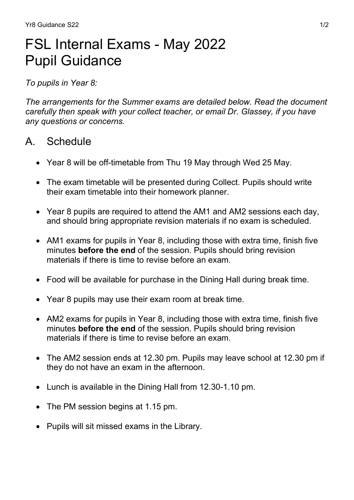# FSL Internal Exams - May 2022 Pupil Guidance

To pupils in Year 8:

The arrangements for the Summer exams are detailed below. Read the document carefully then speak with your collect teacher, or email Dr. Glassey, if you have any questions or concerns.

## A. Schedule

- Year 8 will be off-timetable from Thu 19 May through Wed 25 May.
- The exam timetable will be presented during Collect. Pupils should write their exam timetable into their homework planner.
- Year 8 pupils are required to attend the AM1 and AM2 sessions each day, and should bring appropriate revision materials if no exam is scheduled.
- AM1 exams for pupils in Year 8, including those with extra time, finish five minutes **before the end** of the session. Pupils should bring revision materials if there is time to revise before an exam.
- Food will be available for purchase in the Dining Hall during break time.
- Year 8 pupils may use their exam room at break time.
- AM2 exams for pupils in Year 8, including those with extra time, finish five minutes **before the end** of the session. Pupils should bring revision materials if there is time to revise before an exam.
- The AM2 session ends at 12.30 pm. Pupils may leave school at 12.30 pm if they do not have an exam in the afternoon.
- Lunch is available in the Dining Hall from 12.30-1.10 pm.
- The PM session begins at 1.15 pm.
- Pupils will sit missed exams in the Library.